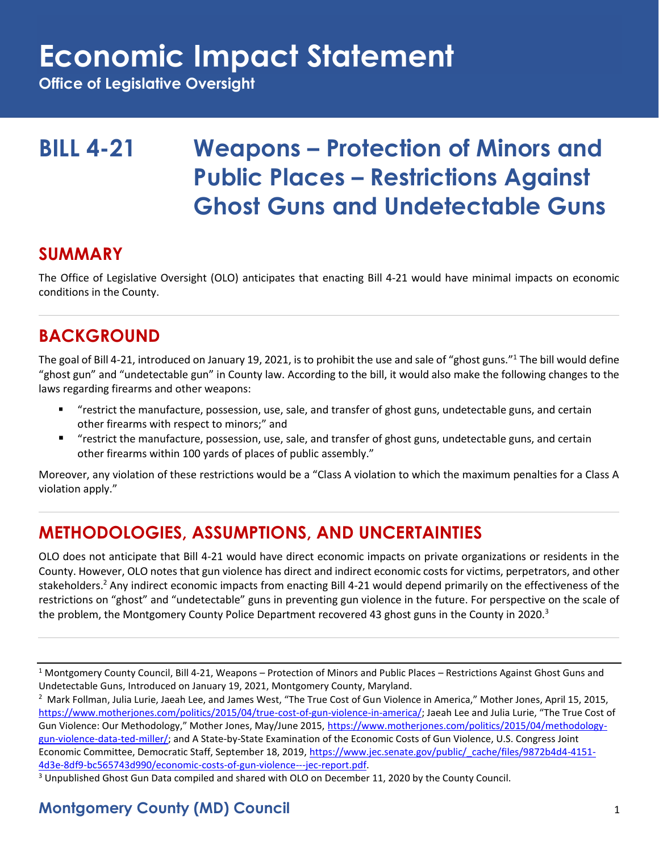## **Economic Impact Statement**

**Office of Legislative Oversight**

## **BILL 4-21 Weapons – Protection of Minors and Public Places – Restrictions Against Ghost Guns and Undetectable Guns**

#### **SUMMARY**

The Office of Legislative Oversight (OLO) anticipates that enacting Bill 4-21 would have minimal impacts on economic conditions in the County.

### **BACKGROUND**

The goal of Bill 4-21, introduced on January 19, 2021, is to prohibit the use and sale of "ghost guns."<sup>1</sup> The bill would define "ghost gun" and "undetectable gun" in County law. According to the bill, it would also make the following changes to the laws regarding firearms and other weapons:

- "restrict the manufacture, possession, use, sale, and transfer of ghost guns, undetectable guns, and certain other firearms with respect to minors;" and
- "restrict the manufacture, possession, use, sale, and transfer of ghost guns, undetectable guns, and certain other firearms within 100 yards of places of public assembly."

Moreover, any violation of these restrictions would be a "Class A violation to which the maximum penalties for a Class A violation apply."

### **METHODOLOGIES, ASSUMPTIONS, AND UNCERTAINTIES**

OLO does not anticipate that Bill 4-21 would have direct economic impacts on private organizations or residents in the County. However, OLO notes that gun violence has direct and indirect economic costs for victims, perpetrators, and other stakeholders.<sup>2</sup> Any indirect economic impacts from enacting Bill 4-21 would depend primarily on the effectiveness of the restrictions on "ghost" and "undetectable" guns in preventing gun violence in the future. For perspective on the scale of the problem, the Montgomery County Police Department recovered 43 ghost guns in the County in 2020.<sup>3</sup>

<sup>3</sup> Unpublished Ghost Gun Data compiled and shared with OLO on December 11, 2020 by the County Council.

#### **Montgomery County (MD) Council** 1

<sup>1</sup> Montgomery County Council, Bill 4-21, Weapons – Protection of Minors and Public Places – Restrictions Against Ghost Guns and Undetectable Guns, Introduced on January 19, 2021, Montgomery County, Maryland.

<sup>&</sup>lt;sup>2</sup> Mark Follman, Julia Lurie, Jaeah Lee, and James West, "The True Cost of Gun Violence in America," Mother Jones, April 15, 2015, [https://www.motherjones.com/politics/2015/04/true-cost-of-gun-violence-in-america/;](https://www.motherjones.com/politics/2015/04/true-cost-of-gun-violence-in-america/) Jaeah Lee and Julia Lurie, "The True Cost of Gun Violence: Our Methodology," Mother Jones, May/June 2015, [https://www.motherjones.com/politics/2015/04/methodology](https://www.motherjones.com/politics/2015/04/methodology-gun-violence-data-ted-miller/)[gun-violence-data-ted-miller/;](https://www.motherjones.com/politics/2015/04/methodology-gun-violence-data-ted-miller/) and A State-by-State Examination of the Economic Costs of Gun Violence, U.S. Congress Joint Economic Committee, Democratic Staff, September 18, 2019[, https://www.jec.senate.gov/public/\\_cache/files/9872b4d4-4151-](https://www.jec.senate.gov/public/_cache/files/9872b4d4-4151-4d3e-8df9-bc565743d990/economic-costs-of-gun-violence---jec-report.pdf) [4d3e-8df9-bc565743d990/economic-costs-of-gun-violence---jec-report.pdf.](https://www.jec.senate.gov/public/_cache/files/9872b4d4-4151-4d3e-8df9-bc565743d990/economic-costs-of-gun-violence---jec-report.pdf)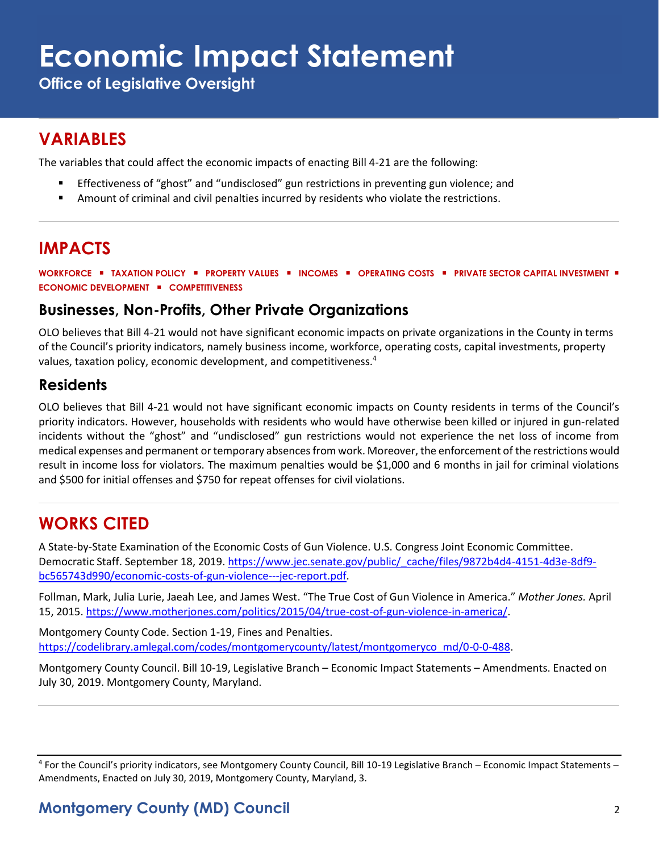# **Economic Impact Statement**

**Office of Legislative Oversight**

### **VARIABLES**

The variables that could affect the economic impacts of enacting Bill 4-21 are the following:

- Effectiveness of "ghost" and "undisclosed" gun restrictions in preventing gun violence; and
- **E** Amount of criminal and civil penalties incurred by residents who violate the restrictions.

### **IMPACTS**

**WORKFORCE** ▪ **TAXATION POLICY** ▪ **PROPERTY VALUES** ▪ **INCOMES** ▪ **OPERATING COSTS** ▪ **PRIVATE SECTOR CAPITAL INVESTMENT** ▪ **ECONOMIC DEVELOPMENT** ▪ **COMPETITIVENESS**

#### **Businesses, Non-Profits, Other Private Organizations**

OLO believes that Bill 4-21 would not have significant economic impacts on private organizations in the County in terms of the Council's priority indicators, namely business income, workforce, operating costs, capital investments, property values, taxation policy, economic development, and competitiveness.<sup>4</sup>

#### **Residents**

OLO believes that Bill 4-21 would not have significant economic impacts on County residents in terms of the Council's priority indicators. However, households with residents who would have otherwise been killed or injured in gun-related incidents without the "ghost" and "undisclosed" gun restrictions would not experience the net loss of income from medical expenses and permanent or temporary absences from work. Moreover, the enforcement of the restrictions would result in income loss for violators. The maximum penalties would be \$1,000 and 6 months in jail for criminal violations and \$500 for initial offenses and \$750 for repeat offenses for civil violations.

#### **WORKS CITED**

A State-by-State Examination of the Economic Costs of Gun Violence. U.S. Congress Joint Economic Committee. Democratic Staff. September 18, 2019. [https://www.jec.senate.gov/public/\\_cache/files/9872b4d4-4151-4d3e-8df9](https://www.jec.senate.gov/public/_cache/files/9872b4d4-4151-4d3e-8df9-bc565743d990/economic-costs-of-gun-violence---jec-report.pdf) [bc565743d990/economic-costs-of-gun-violence---jec-report.pdf.](https://www.jec.senate.gov/public/_cache/files/9872b4d4-4151-4d3e-8df9-bc565743d990/economic-costs-of-gun-violence---jec-report.pdf)

Follman, Mark, Julia Lurie, Jaeah Lee, and James West. "The True Cost of Gun Violence in America." *Mother Jones.* April 15, 2015. [https://www.motherjones.com/politics/2015/04/true-cost-of-gun-violence-in-america/.](https://www.motherjones.com/politics/2015/04/true-cost-of-gun-violence-in-america/)

Montgomery County Code. Section 1-19, Fines and Penalties. [https://codelibrary.amlegal.com/codes/montgomerycounty/latest/montgomeryco\\_md/0-0-0-488.](https://codelibrary.amlegal.com/codes/montgomerycounty/latest/montgomeryco_md/0-0-0-488)

Montgomery County Council. Bill 10-19, Legislative Branch – Economic Impact Statements – Amendments. Enacted on July 30, 2019. Montgomery County, Maryland.

<sup>4</sup> For the Council's priority indicators, see Montgomery County Council, Bill 10-19 Legislative Branch – Economic Impact Statements – Amendments, Enacted on July 30, 2019, Montgomery County, Maryland, 3.

#### **Montgomery County (MD) Council** 2